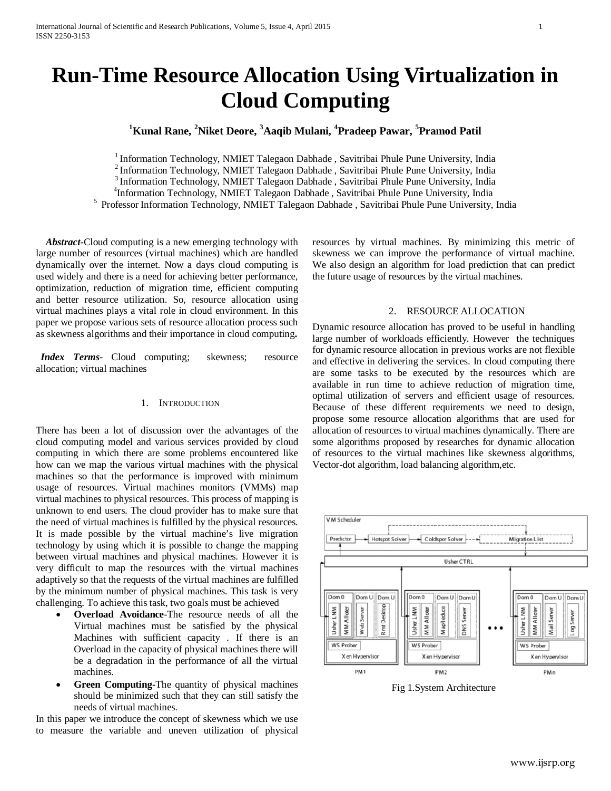# **Run-Time Resource Allocation Using Virtualization in Cloud Computing**

# **1 Kunal Rane, <sup>2</sup> Niket Deore, <sup>3</sup> Aaqib Mulani, <sup>4</sup> Pradeep Pawar, <sup>5</sup> Pramod Patil**

<sup>1</sup> Information Technology, NMIET Talegaon Dabhade, Savitribai Phule Pune University, India<br><sup>2</sup> Information Technology, NMIET Talegaon Dabhade, Savitribai Phule Pune University, India<br> $\frac{3}{1}$  Information Technology, NMI

<sup>5</sup> Professor Information Technology, NMIET Talegaon Dabhade , Savitribai Phule Pune University, India

 *Abstract***-**Cloud computing is a new emerging technology with large number of resources (virtual machines) which are handled dynamically over the internet. Now a days cloud computing is used widely and there is a need for achieving better performance, optimization, reduction of migration time, efficient computing and better resource utilization. So, resource allocation using virtual machines plays a vital role in cloud environment. In this paper we propose various sets of resource allocation process such as skewness algorithms and their importance in cloud computing**.**

*Index Terms*- Cloud computing; skewness; resource allocation; virtual machines

## 1. INTRODUCTION

There has been a lot of discussion over the advantages of the cloud computing model and various services provided by cloud computing in which there are some problems encountered like how can we map the various virtual machines with the physical machines so that the performance is improved with minimum usage of resources. Virtual machines monitors (VMMs) map virtual machines to physical resources. This process of mapping is unknown to end users. The cloud provider has to make sure that the need of virtual machines is fulfilled by the physical resources. It is made possible by the virtual machine's live migration technology by using which it is possible to change the mapping between virtual machines and physical machines. However it is very difficult to map the resources with the virtual machines adaptively so that the requests of the virtual machines are fulfilled by the minimum number of physical machines. This task is very challenging. To achieve this task, two goals must be achieved

- **Overload Avoidance-The resource needs of all the** Virtual machines must be satisfied by the physical Machines with sufficient capacity . If there is an Overload in the capacity of physical machines there will be a degradation in the performance of all the virtual machines.
- **Green Computing-The quantity of physical machines** should be minimized such that they can still satisfy the needs of virtual machines.

In this paper we introduce the concept of skewness which we use to measure the variable and uneven utilization of physical resources by virtual machines. By minimizing this metric of skewness we can improve the performance of virtual machine. We also design an algorithm for load prediction that can predict the future usage of resources by the virtual machines.

# 2. RESOURCE ALLOCATION

Dynamic resource allocation has proved to be useful in handling large number of workloads efficiently. However the techniques for dynamic resource allocation in previous works are not flexible and effective in delivering the services. In cloud computing there are some tasks to be executed by the resources which are available in run time to achieve reduction of migration time, optimal utilization of servers and efficient usage of resources. Because of these different requirements we need to design, propose some resource allocation algorithms that are used for allocation of resources to virtual machines dynamically. There are some algorithms proposed by researches for dynamic allocation of resources to the virtual machines like skewness algorithms, Vector-dot algorithm, load balancing algorithm,etc.



Fig 1.System Architecture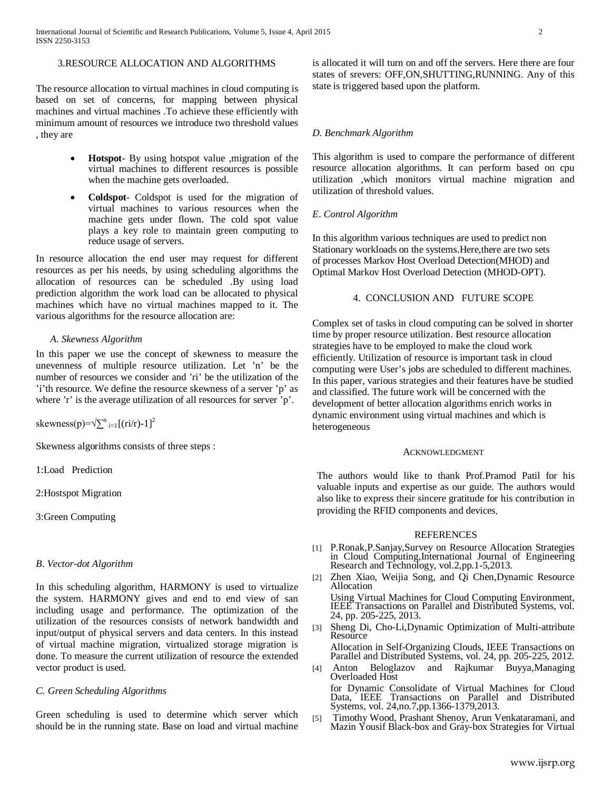# 3.RESOURCE ALLOCATION AND ALGORITHMS

The resource allocation to virtual machines in cloud computing is based on set of concerns, for mapping between physical machines and virtual machines .To achieve these efficiently with minimum amount of resources we introduce two threshold values , they are

- **Hotspot** By using hotspot value ,migration of the virtual machines to different resources is possible when the machine gets overloaded.
- **Coldspot** Coldspot is used for the migration of virtual machines to various resources when the machine gets under flown. The cold spot value plays a key role to maintain green computing to reduce usage of servers.

In resource allocation the end user may request for different resources as per his needs, by using scheduling algorithms the allocation of resources can be scheduled .By using load prediction algorithm the work load can be allocated to physical machines which have no virtual machines mapped to it. The various algorithms for the resource allocation are:

#### *A. Skewness Algorithm*

In this paper we use the concept of skewness to measure the unevenness of multiple resource utilization. Let 'n' be the number of resources we consider and 'ri' be the utilization of the 'i'th resource. We define the resource skewness of a server 'p' as where 'r' is the average utilization of all resources for server 'p'.

skewness(p)= $\sqrt{\sum_{i=1}^{n}[(ri/r)-1]^2}$ 

Skewness algorithms consists of three steps :

1:Load Prediction

2:Hostspot Migration

3:Green Computing

#### *B*. *Vector-dot Algorithm*

In this scheduling algorithm, HARMONY is used to virtualize the system. HARMONY gives and end to end view of san including usage and performance. The optimization of the utilization of the resources consists of network bandwidth and input/output of physical servers and data centers. In this instead of virtual machine migration, virtualized storage migration is done. To measure the current utilization of resource the extended vector product is used.

### *C. Green Scheduling Algorithms*

Green scheduling is used to determine which server which should be in the running state. Base on load and virtual machine is allocated it will turn on and off the servers. Here there are four states of srevers: OFF,ON,SHUTTING,RUNNING. Any of this state is triggered based upon the platform.

#### *D. Benchmark Algorithm*

This algorithm is used to compare the performance of different resource allocation algorithms. It can perform based on cpu utilization ,which monitors virtual machine migration and utilization of threshold values.

#### *E*. *Control Algorithm*

In this algorithm various techniques are used to predict non Stationary workloads on the systems.Here,there are two sets of processes Markov Host Overload Detection(MHOD) and Optimal Markov Host Overload Detection (MHOD-OPT).

### 4. CONCLUSION AND FUTURE SCOPE

Complex set of tasks in cloud computing can be solved in shorter time by proper resource utilization. Best resource allocation strategies have to be employed to make the cloud work efficiently. Utilization of resource is important task in cloud computing were User's jobs are scheduled to different machines. In this paper, various strategies and their features have be studied and classified. The future work will be concerned with the development of better allocation algorithms enrich works in dynamic environment using virtual machines and which is heterogeneous

#### ACKNOWLEDGMENT

The authors would like to thank Prof.Pramod Patil for his valuable inputs and expertise as our guide. The authors would also like to express their sincere gratitude for his contribution in providing the RFID components and devices.

#### REFERENCES

- [1] P.Ronak,P.Sanjay,Survey on Resource Allocation Strategies in Cloud Computing,International Journal of Engineering Research and Technology, vol.2,pp.1-5,2013.
- Zhen Xiao, Weijia Song, and Qi Chen, Dynamic Resource Allocation Using Virtual Machines for Cloud Computing Environment, IEEE Transactions on Parallel and Distributed Systems, vol. 24, pp. 205-225, 2013.
- [3] Sheng Di, Cho-Li,Dynamic Optimization of Multi-attribute **Resource** Allocation in Self-Organizing Clouds, IEEE Transactions on Parallel and Distributed Systems, vol. 24, pp. 205-225, 2012.
- [4] Anton Beloglazov and Rajkumar Buyya,Managing Overloaded Host for Dynamic Consolidate of Virtual Machines for Cloud Data, IEEE Transactions on Parallel and Distributed
- Systems, vol. 24,no.7,pp.1366-1379,2013. [5] Timothy Wood, Prashant Shenoy, Arun Venkataramani, and Mazin Yousif Black-box and Gray-box Strategies for Virtual